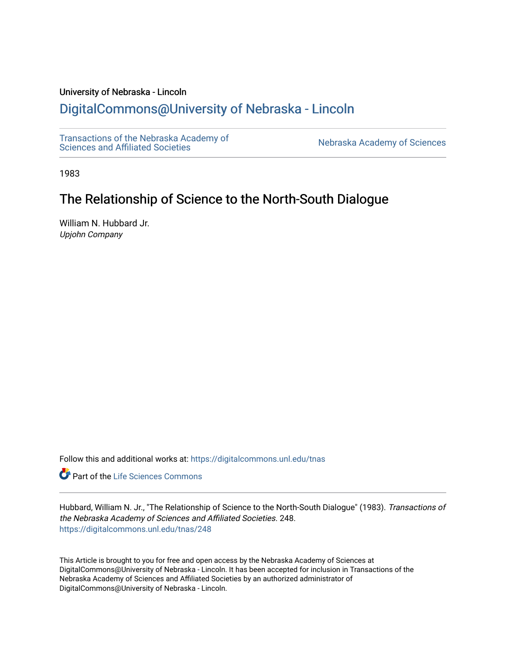# University of Nebraska - Lincoln

# [DigitalCommons@University of Nebraska - Lincoln](https://digitalcommons.unl.edu/)

[Transactions of the Nebraska Academy of](https://digitalcommons.unl.edu/tnas) 

Nebraska Academy of Sciences

1983

# The Relationship of Science to the North-South Dialogue

William N. Hubbard Jr. Upjohn Company

Follow this and additional works at: [https://digitalcommons.unl.edu/tnas](https://digitalcommons.unl.edu/tnas?utm_source=digitalcommons.unl.edu%2Ftnas%2F248&utm_medium=PDF&utm_campaign=PDFCoverPages) 

Part of the [Life Sciences Commons](http://network.bepress.com/hgg/discipline/1016?utm_source=digitalcommons.unl.edu%2Ftnas%2F248&utm_medium=PDF&utm_campaign=PDFCoverPages) 

Hubbard, William N. Jr., "The Relationship of Science to the North-South Dialogue" (1983). Transactions of the Nebraska Academy of Sciences and Affiliated Societies. 248. [https://digitalcommons.unl.edu/tnas/248](https://digitalcommons.unl.edu/tnas/248?utm_source=digitalcommons.unl.edu%2Ftnas%2F248&utm_medium=PDF&utm_campaign=PDFCoverPages) 

This Article is brought to you for free and open access by the Nebraska Academy of Sciences at DigitalCommons@University of Nebraska - Lincoln. It has been accepted for inclusion in Transactions of the Nebraska Academy of Sciences and Affiliated Societies by an authorized administrator of DigitalCommons@University of Nebraska - Lincoln.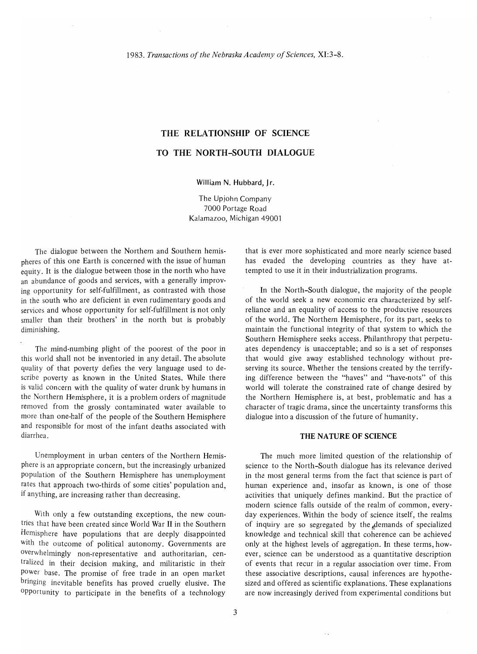# **THE RELATIONSHIP OF SCIENCE TO THE NORTH-SOUTH DIALOGUE**

### William N. Hubbard, Jr.

The Upjohn Company 7000 Portage Road Kalamazoo, Michigan 49001

The dialogue between the Northern and Southern hemis· pheres of this one Earth is concerned with the issue of human equity. It is the dialogue between those in the north who have an abundance of goods and services, with a generally improv· ing opportunity for self-fulfillment, as contrasted with those in the south who are deficient in even rudimentary goods and services and whose opportunity for self-fulfillment is not only smaller than their brothers' in the north but is probably diminishing.

The mind·numbing plight of the poorest of the poor in this world shall not be inventoried in any detail. The absolute quality of that poverty defies the very language used to de· scribe poverty as known in the United States. While there is valid concern with the quality of water drunk by humans in the Northern Hemisphere, it is a problem orders of magnitude removed from the grossly contaminated water available to more than one-half of the people of the Southern Hemisphere and responsible for most of the infant deaths associated with diarrhea.

Unemployment in urban centers of the Northern Hemis· phere is an appropriate concern, but the increasingly urbanized population of the Southern Hemisphere has unemployment rates that approach two·thirds of some cities' population and, if anything, are increasing rather than decreasing.

With only a few outstanding exceptions, the new coun· tries that have been created since World War II in the Southern Hemisphere have populations that are deeply disappointed with the outcome of political autonomy. Governments are overwhelmingly non·representative and authoritarian, cen· tralized in their decision making, and militaristic in their power base. The promise of free trade in an open market bringing inevitable benefits has proved cruelly elusive. The opportunity to participate in the benefits of a technology

that is ever more sophisticated and more nearly science based has evaded the developing countries as they have at· tempted to use it in their industrialization programs.

**In** the North-South dialogue, the majority of the people of the world seek a new economic era characterized by self· reliance and an equality of access to the productive resources of the world. The Northern Hemisphere, for its part, seeks to maintain the functional integrity of that system to which the Southern Hemisphere seeks access. Philanthropy that perpetu· ates dependency is unacceptable; and so is a set of responses that would give away established technology without pre· serving its source. Whether the tensions created by the terrify· ing difference between the "haves" and "have·nots" of this world will tolerate the constrained rate of change desired by the Northern Hemisphere is, at best, problematic and has a character of tragic drama, since the uncertainty transforms this dialogue into a discussion of the future of humanity.

### **THE NATURE OF SCIENCE**

The much more limited question of the relationship of science to the North-South dialogue has its relevance derived in the most general terms from the fact that science is part of human experience and, insofar as known, is one of those activities that uniquely defines mankind. But the practice of modern science falls outside of the realm of common, every· day experiences. Within the body of science itself, the realms of inquiry are so segregated by the demands of specialized knowledge and technical skill that coherence can be achieved only at the highest levels of aggregation. In these terms, however, science can be understood as a quantitative description of events that recur in a regular association over time. From these associative descriptions, causal inferences are hypothe· sized and offered as scientific explanations. These explanations are now increasingly derived from experimental conditions but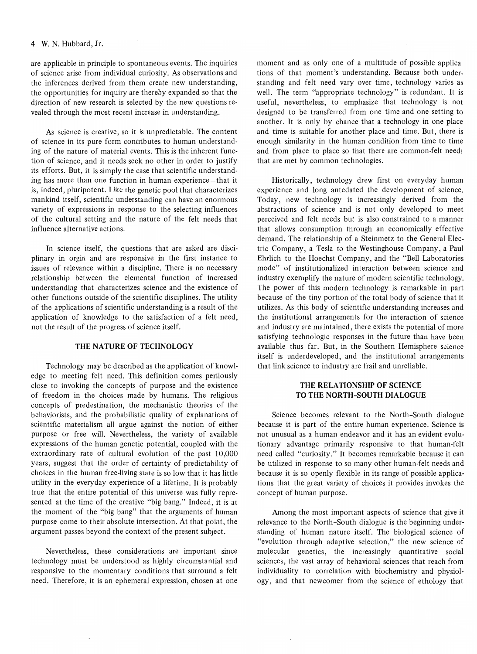are applicable in principle to spontaneous events. The inquiries of science arise from individual curiosity. As observations and the inferences derived from them create new understanding, the opportunities for inquiry are thereby expanded so that the direction of new research is selected by the new questions revealed through the most recent increase in understanding.

As science is creative, so it is unpredictable. The content of science in its pure form contributes to human understanding of the nature of material events. This is the inherent function of science, and it needs seek no other in order to justify its efforts. But, it is simply the case that scientific understanding has more than one function in human experience-that it is, indeed, pluripotent. Like the genetic pool that characterizes mankind itself, scientific understanding can have an enormous variety of expressions in response to the selecting influences of the cultural setting and the nature of the felt needs that influence alternative actions.

**In** science itself, the questions that are asked are disciplinary in orgin and are responsive in the first instance to issues of relevance within a discipline. There is no necessary relationship between the elemental function of increased understanding that characterizes science and the existence of other functions outside of the scientific disciplines. The utility of the applications of scientific understanding is a result of the application of knowledge to the satisfaction of a felt need, not the result of the progress of science itself.

### **THE NATURE OF TECHNOLOGY**

Technology may be described as the application of knowledge to meeting felt need. This definition comes perilously close to invoking the concepts of purpose and the existence of freedom in the choices made by humans. The religious concepts of predestination, the mechanistic theories of the behaviorists, and the probabilistic quality of explanations of scientific materialism all argue against the notion of either purpose or free will. Nevertheless, the variety of available expressions of the human genetic potential, coupled with the extraordinary rate of cultural evolution of the past 10,000 years, suggest that the order of certainty of predictability of choices in the human free-living state is so low that it has little utility in the everyday experience of a lifetime. It is probably true that the entire potential of this universe was fully represented at the time of the creative "big bang." Indeed, it is at the moment of the "big bang" that the arguments of human purpose come to their absolute intersection. At that point, the argument passes beyond the context of the present subject.

Nevertheless, these considerations are important since technology must be understood as highly circumstantial and responsive to the momentary conditions that surround a felt need. Therefore, it is an ephemeral expression, chosen at one moment and as only one of a multitude of possible applica tions of that moment's understanding. Because both understanding and felt need vary over time, technology varies as well. The term "appropriate technology" is redundant. It is useful, nevertheless, to emphasize that technology is not designed to be transferred from one time and one setting to another. It is only by chance that a technology in one place and time is suitable for another place and time. But, there is enough similarity in the human condition from time to time and from place to place so that there are common-felt need; that are met by common technologies.

Historically, technology drew first on everyday human experience and long antedated the development of science. Today, new technology is increasingly derived from the abstractions of science and is not only developed to meet perceived and felt needs but is also constrained to a manner that allows consumption through an economically effective demand. The relationship of a Steinmetz to the General Electric Company, a Tesla to the Westinghouse Company, a Paul Ehrlich to the Hoechst Company, and the "Bell Laboratories mode" of institutionalized interaction between science and industry exemplify the nature of modern scientific technology. The power of this modern technology is remarkable in part because of the tiny portion of the total body of science that it utilizes. As this body of scientific understanding increases and the institutional arrangements for the interaction of science and industry are maintained, there exists the potential of more satisfying technologic responses in the future than have been available thus far. But, in the Southern Hemisphere science itself is underdeveloped, and the institutional arrangements that link science to industry are frail and unreliable.

# **THE RELATIONSHIP OF SCIENCE TO THE NORTH-SOUTH DIALOGUE**

Science becomes relevant to the North-South dialogue because it is part of the entire human experience. Science is not unusual as a human endeavor and it has an evident evolutionary advantage primarily responsive to that human-felt need called "curiosity." It becomes remarkable because it can be utilized in response to so many other human-felt needs and because it is so openly flexible in its range of possible applications that the great variety of choices it provides invokes the concept of human purpose.

Among the most important aspects of science that give it relevance to the North-South dialogue is the beginning understanding of human nature itself. The biological science of "evolution through adaptive selection," the new science of molecular genetics, the increasingly quantitative social sciences, the vast array of behavioral sciences that reach from individuality to correlation with biochemistry and physiology, and that newcomer from the science of ethology that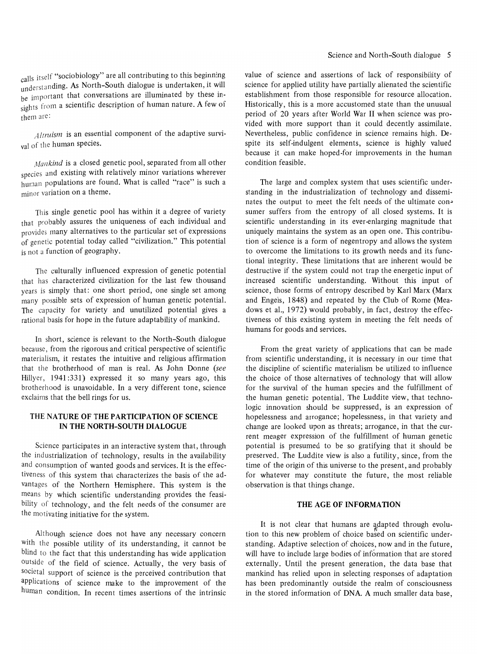calls itself "sociobiology" are all contributing to this beginning understanding. As North-South dialogue is undertaken, it will be important that conversations are illuminated by these insights from a scientific description of human nature. A few of them are:

*Altruism* is an essential component of the adaptive survival of the human species.

Mankind is a closed genetic pool, separated from all other species and existing with relatively minor variations wherever human populations are found. What is called "race" is such a minor variation on a theme.

This single genetic pool has within it a degree of variety that probably assures the uniqueness of each individual and provides many alternatives to the particular set of expressions of genetic potential today called "civilization." This potential is not a function of geography.

The culturally influenced expression of genetic potential that has characterized civilization for the last few thousand years is simply that: one short period, one single set among many possible sets of expression of human genetic potential. The capacity for variety and unutilized potential gives a rational basis for hope in the future adaptability of mankind.

In short, science is relevant to the North-South dialogue because, from the rigorous and critical perspective of scientific materialism, it restates the intuitive and religious affirmation that the brotherhood of man is real. As John Donne *(see*  Hillyer, 1941:331) expressed it so many years ago, this brotherhood is unavoidable. In a very different tone, science exclaims that the bell rings for us.

# THE NATURE OF THE PARTICIPATION OF SCIENCE IN THE NORTH-SOUTH DIALOGUE

Science participates in an interactive system that, through the industrialization of technology, results in the availability and consumption of wanted goods and services. It is the effectiveness of this system that characterizes the basis of the advantages of the Northern Hemisphere. This system is the means by which scientific understanding provides the feasibility of technology, and the felt needs of the consumer are the motivating initiative for the system.

Although science does not have any necessary concern with the possible utility of its understanding, it cannot be blind to the fact that this understanding has wide application outside of the field of science. Actually, the very basis of societal support of science is the perceived contribution that applications of science make to the improvement of the human condition. In recent times assertions of the intrinsic value of science and assertions of lack of responsibility of science for applied utility have partially alienated the scientific establishment from those responsible for resource allocation. Historically, this is a more accustomed state than the unusual period of 20 years after World War II when science was provided with more support than it could decently assimilate. Nevertheless, public confidence in science remains high. Despite its self-indulgent elements, science is highly valued because it can make hoped-for improvements in the human condition feasible.

The large and complex system that uses scientific understanding in the industrialization of technology and disseminates the output to meet the felt needs of the ultimate con~ sumer suffers from the entropy of all closed systems. It is scientific understanding in its ever-enlarging magnitude that uniquely maintains the system as an open one. This contribution of science is a form of negentropy and allows the system to overcome the limitations to its growth needs and its functional integrity. These limitations that are inherent would be destructive if the system could not trap the energetic input of increased scientific understanding. Without this input of science, those forms of entropy described by Karl Marx (Marx and Engels, 1848) and repeated by the Club of Rome (Meadows et aI., 1972) would probably, in fact, destroy the effectiveness of this existing system in meeting the felt needs of humans for goods and services.

From the great variety of applications that can be made from scientific understanding, it is necessary in our time that the discipline of scientific materialism be utilized to influence the choice of those alternatives of technology that will allow for the survival of the human species and the fulfillment of the human genetic potential. The Luddite view, that technologic innovation should be suppressed, is an expression of hopelessness and arrogance; hopelessness, in that variety and change are looked upon as threats; arrogance, in that the current meager expression of the fulfillment of human genetic potential is presumed to be so gratifying that it should be preserved. The Luddite view is also a futility, since, from the time of the origin of this universe to the present, and probably for whatever may constitute the future, the most reliable observation is that things change.

# THE AGE OF INFORMATION

It is not clear that humans are adapted through evolution to this new problem of choice based on scientific understanding. Adaptive selection of choices, now and in the future, will have to include large bodies of information that are stored externally. Until the present generation, the data base that mankind has relied upon in selecting responses of adaptation has been predominantly outside the realm of consciousness in the stored information of DNA. A much smaller data base,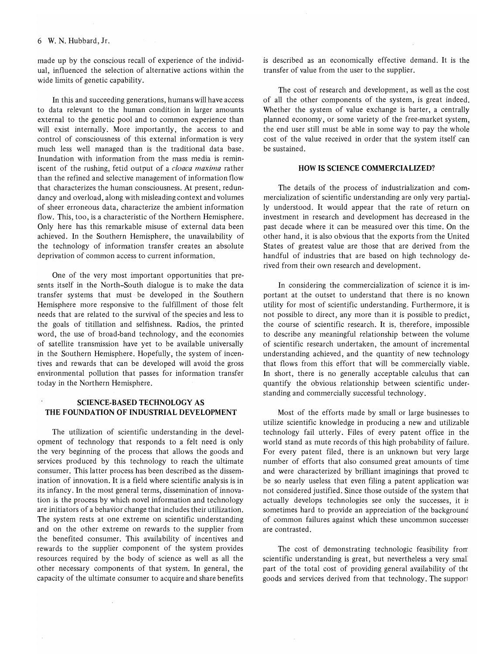#### 6 W. N. Hubbard, Jr.

made up by the conscious recall of experience of the individual, influenced the selection of alternative actions within the wide limits of genetic capability.

In this and succeeding generations, humans will have access to data relevant to the human condition in larger amounts external to the genetic pool and to common experience than will exist internally. More importantly, the access to and control of consciousness of this external information is very much less well managed than is the traditional data base. Inundation with information from the mass media is reminiscent of the rushing, fetid output of a *cloaca maxima* rather than the refined and selective management of information flow that characterizes the human consciousness. At present, redundancy and overload, along with misleading context and volumes of sheer erroneous data, characterize the ambient information flow. This, too, is a characteristic of the Northern Hemisphere. Only here has this remarkable misuse of external data been achieved. In the Southern Hemisphere, the unavailability of the technology of information transfer creates an absolute deprivation of common access to current information.

One of the very most important opportunities that presents itself in the North-South dialogue is to make the data transfer systems that must be developed in the Southern Hemisphere more responsive to the fulfillment of those felt needs that are related to the survival of the species and less to the goals of titillation and selfishness. Radios, the printed word, the use of broad-band technology, and the economies of satellite transmission have yet to be available universally in the Southern Hemisphere. Hopefully, the system of incentives and rewards that can be developed will avoid the gross environmental pollution that passes for information transfer today in the Northern Hemisphere.

#### SCIENCE-BASED TECHNOLOGY AS THE FOUNDATION OF INDUSTRIAL DEVELOPMENT

The utilization of scientific understanding in the development of technology that responds to a felt need is only the very beginning of the process that allows the goods and services produced by this technology to reach the ultimate consumer. This latter process has been described as the dissemination of innovation. It is a field where scientific analysis is in its infancy. In the most general terms, dissemination of innovation is the process by which novel information and technology are initiators of a behavior change that includes their utilization. The system rests at one extreme on scientific understanding and on the other extreme on rewards to the supplier from the benefited consumer. This availability of incentives and rewards to the supplier component of the system provides resources required by the body of science as well as all the other necessary components of that system. In general, the capacity of the ultimate consumer to acquire and share benefits

is described as an economically effective demand. It is the transfer of value from the user to the supplier.

The cost of research and development, as well as the cost of all the other components of the system, is great indeed. Whether the system of value exchange is barter, a centrally planned economy, or some variety of the free-market system, the end user still must be able in some way to pay the whole cost of the value received in order that the system itself can be sustained.

#### HOW IS SCIENCE COMMERCIALIZED?

The details of the process of industrialization and commercialization of scientific understanding are only very partially understood. It would appear that the rate of return on investment in research and development has decreased in the past decade where it can be measured over this time. On the other hand, it is also obvious that the exports from the United States of greatest value are those that are derived from the handful of industries that are based on high technology derived from their own research and development.

In considering the commercialization of science it is important at the outset to understand that there is no known utility for most of scientific understanding. Furthermore, it is not possible to direct, any more than it is possible to predict, the course of scientific research. It is, therefore, impossible to describe any meaningful relationship between the volume of scientific research undertaken, the amount of incremental understanding achieved, and the quantity of new technology that flows from this effort that will be commercially viable. In short, there is no generally acceptable calculus that can quantify the obvious relationship between scientific understanding and commercially successful technology.

Most of the efforts made by small or large businesses to utilize scientific knowledge in producing a new and utilizable technology fail utterly. Files of every patent office in the world stand as mute records of this high probability of failure. For every patent filed, there is an unknown but very large number of efforts that also consumed great amounts of time and were characterized by brilliant imaginings that proved to be so nearly useless that even filing a patent application was not considered justified. Since those outside of the system tha1 actually develops technologies see only the successes, it is sometimes hard to provide an appreciation of the background of common failures against which these uncommon successes are contrasted.

The cost of demonstrating technologic feasibility from scientific understanding is great, but nevertheless a very small part of the total cost of providing general availability of the goods and services derived from that technology. The supporl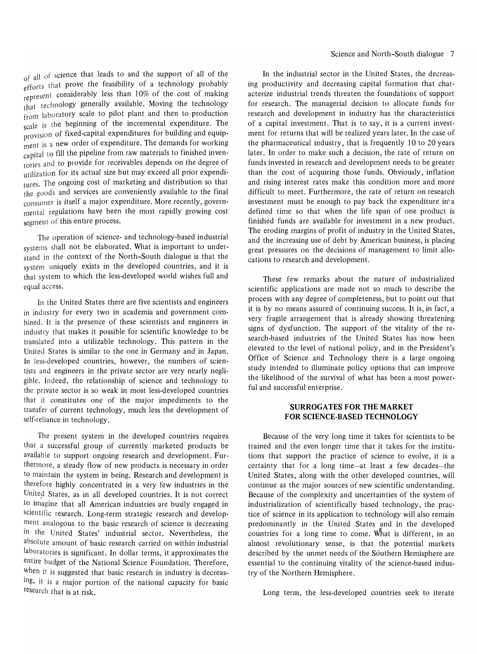f all of science that leads to and the support of all of the ~fforts that prove the feasibility of a technology probably represent considerably less than 10% of the cost of making that technology generally available. Moving the technology from laboratory scale to pilot plant and then to production scale is the beginning of the incremental expenditure. The provision of fixed-capital expenditures for building and equipment is a new order of expenditure. The demands for working capital to fill the pipeline from raw materials to finished inventories and to provide for receivables depends on the degree of utilization for its actual size but may exceed all prior expenditures. The ongoing cost of marketing and distribution so that the goods and services are conveniently available to the final consumer is itself a major expenditure. More recently, governmental regulations have been the most rapidly growing cost segment of this entire process.

The operation of science- and technology-based industrial systems shall not be elaborated. What is important to understand in the context of the North-South dialogue is that the system uniquely exists in the developed countries, and it is that system to which the less-developed world wishes full and equal access.

In the United States there are five scientists and engineers in industry for every two in academia and government combined. It is the presence of these scientists and engineers in industry that makes it possible for scientific knowledge to be translated into a utilizable technology. This pattern in the United States is similar to the one in Germany and in Japan. In less-developed countries, however, the numbers of scientists and engineers in the private sector are very nearly negligible. Indeed, the relationship of science and technology to the private sector is so weak in most less-developed countries that it constitutes one of the major impediments to the transfer of current technology, much less the development of self-reliance in technology.

The present system in the developed countries requires that a successful group of currently marketed products be available to support ongoing research and development. **Fur**thermore, a steady flow of new products is necessary in order to maintain the system in being. Research and development is therefore highly concentrated in a very few industries in the United States, as in all developed countries. It is not correct *to* imagine that all American industries are busily engaged in scientific research. Long-term strategic research and development analogous to the basic research of science is decreasing in the United States' industrial sector. Nevertheless, the absolute amount of basic research carried on within industrial laboratories is significant. **In** dollar terms, it approximates the entire budget of the National Science Foundation. Therefore, When it is suggested that basic research in industry is decreasing, it is a major portion of the national capacity for basic research that is at risk.

**In** the industrial sector in the United States, the decreasing productivity and decreasing capital formation that characterize industrial trends threaten the foundations of support for research. The managerial decision to allocate funds for research and development in industry has the characteristics of a capital investment. That is to say, it is a current investment for returns that will be realized years later. **In** the case of the pharmaceutical industry, that is frequently 10 to 20 years later. **In** order to make such a decision, the rate of return on funds invested in research and development needs to be greater than the cost of acquiring those funds. Obviously, inflation and rising interest rates make this condition more and more difficult to meet. Furthermore, the rate of return on research investment must be enough to pay back the expenditure in" a defined time so that when the life span of one product is finished funds are available for investment in a new product. The eroding margins of profit of industry in the United States, and the increasing use of debt by American business, is placing great pressures on the decisions of management to limit allocations to research and development.

These few remarks about the nature of industrialized scientific applications are made not so much to describe the process with any degree of completeness, but to point out that it is by no means assured of continuing success. It is, in fact, a very fragile arrangement that is already showing threatening signs of dysfunction. The support of the vitality of the research-based industries of the United States has now been elevated to the level of national policy, and in the President's Office of Science and Technology there is a large ongoing study intended to illuminate policy options that can improve the likelihood of the survival of what has been a most powerful and successful enterprise.

## **SURROGATES FOR THE MARKET FOR SCIENCE-BASED TECHNOLOGY**

Because of the very long time it takes for scientists to be trained and the even longer time that it takes for the institutions that support the practice of science to evolve, it is a certainty that for a long time-at least a few decades-the United States, along with the other developed countries, will continue as the major sources of new scientific understanding. Because of the complexity and uncertainties of the system of industrialization of scientifically based technology, the practice of science in its application to technology will also remain predominantly in the United States and in the developed countries for a long time to come. What is different, in an almost revolutionary sense, is that the potential markets described by the unmet needs of the Southern Hemisphere are essential to the continuing vitality of the science-based industry of the Northern Hemisphere.

Long term, the less-developed countries seek to iterate

 $\sim$ 

 $\sim$